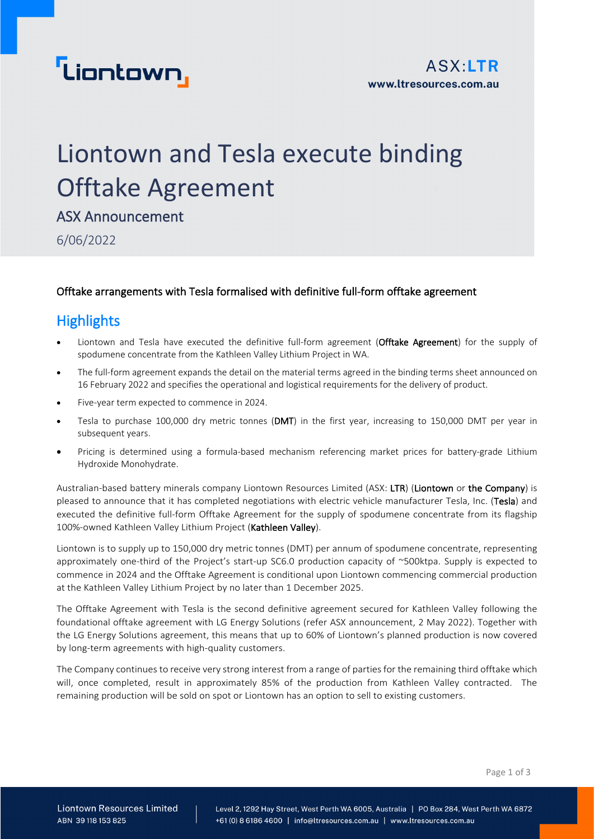

## Liontown and Tesla execute binding Offtake Agreement

ASX Announcement

6/06/2022

### Offtake arrangements with Tesla formalised with definitive full-form offtake agreement

### **Highlights**

- Liontown and Tesla have executed the definitive full-form agreement (Offtake Agreement) for the supply of spodumene concentrate from the Kathleen Valley Lithium Project in WA.
- The full-form agreement expands the detail on the material terms agreed in the binding terms sheet announced on 16 February 2022 and specifies the operational and logistical requirements for the delivery of product.
- Five-year term expected to commence in 2024.
- Tesla to purchase 100,000 dry metric tonnes (DMT) in the first year, increasing to 150,000 DMT per year in subsequent years.
- Pricing is determined using a formula-based mechanism referencing market prices for battery-grade Lithium Hydroxide Monohydrate.

Australian-based battery minerals company Liontown Resources Limited (ASX: LTR) (Liontown or the Company) is pleased to announce that it has completed negotiations with electric vehicle manufacturer Tesla, Inc. (Tesla) and executed the definitive full-form Offtake Agreement for the supply of spodumene concentrate from its flagship 100%-owned Kathleen Valley Lithium Project (Kathleen Valley).

Liontown is to supply up to 150,000 dry metric tonnes (DMT) per annum of spodumene concentrate, representing approximately one-third of the Project's start-up SC6.0 production capacity of ~500ktpa. Supply is expected to commence in 2024 and the Offtake Agreement is conditional upon Liontown commencing commercial production at the Kathleen Valley Lithium Project by no later than 1 December 2025.

The Offtake Agreement with Tesla is the second definitive agreement secured for Kathleen Valley following the foundational offtake agreement with LG Energy Solutions (refer ASX announcement, 2 May 2022). Together with the LG Energy Solutions agreement, this means that up to 60% of Liontown's planned production is now covered by long-term agreements with high-quality customers.

The Company continues to receive very strong interest from a range of parties for the remaining third offtake which will, once completed, result in approximately 85% of the production from Kathleen Valley contracted. The remaining production will be sold on spot or Liontown has an option to sell to existing customers.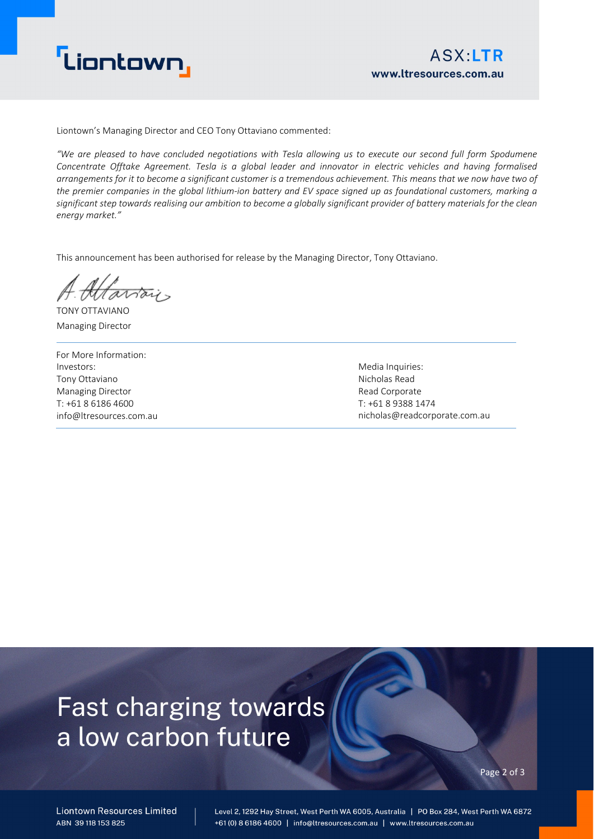

Liontown's Managing Director and CEO Tony Ottaviano commented:

*"We are pleased to have concluded negotiations with Tesla allowing us to execute our second full form Spodumene Concentrate Offtake Agreement. Tesla is a global leader and innovator in electric vehicles and having formalised arrangements for it to become a significant customer is a tremendous achievement. This means that we now have two of the premier companies in the global lithium-ion battery and EV space signed up as foundational customers, marking a significant step towards realising our ambition to become a globally significant provider of battery materials for the clean energy market."* 

This announcement has been authorised for release by the Managing Director, Tony Ottaviano.

artois TONY OTTAVIANO

Managing Director

For More Information: Investors: Tony Ottaviano Managing Director T: +61 8 6186 4600 info@ltresources.com.au

Media Inquiries: Nicholas Read Read Corporate T: +61 8 9388 1474 nicholas@readcorporate.com.au

## **Fast charging towards** a low carbon future

Page 2 of 3

**Liontown Resources Limited** ABN 39118153825

Level 2, 1292 Hay Street, West Perth WA 6005, Australia | PO Box 284, West Perth WA 6872 +61 (0) 8 6186 4600 | info@ltresources.com.au | www.ltresources.com.au